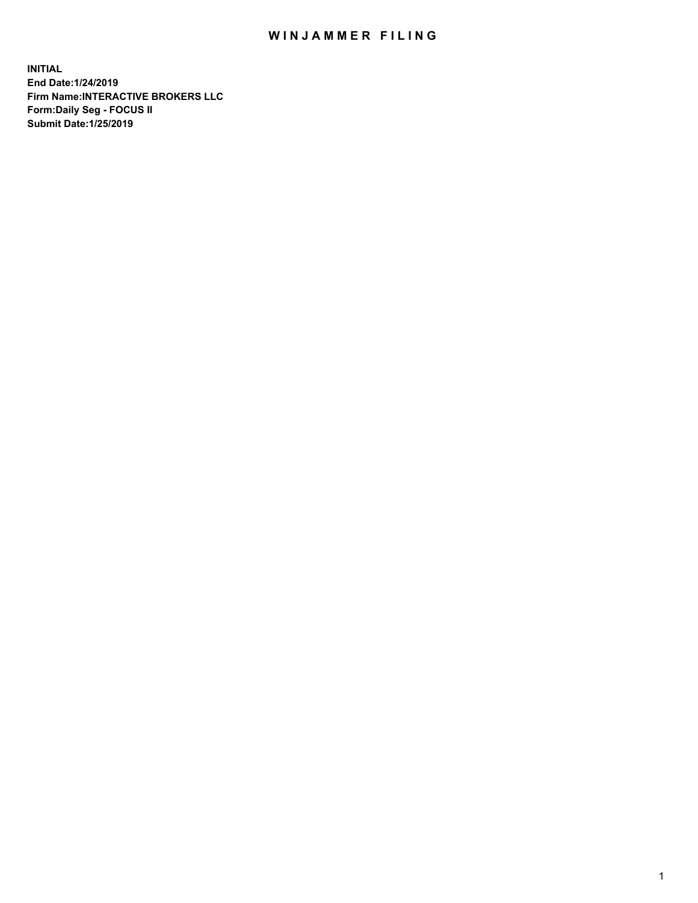## WIN JAMMER FILING

**INITIAL End Date:1/24/2019 Firm Name:INTERACTIVE BROKERS LLC Form:Daily Seg - FOCUS II Submit Date:1/25/2019**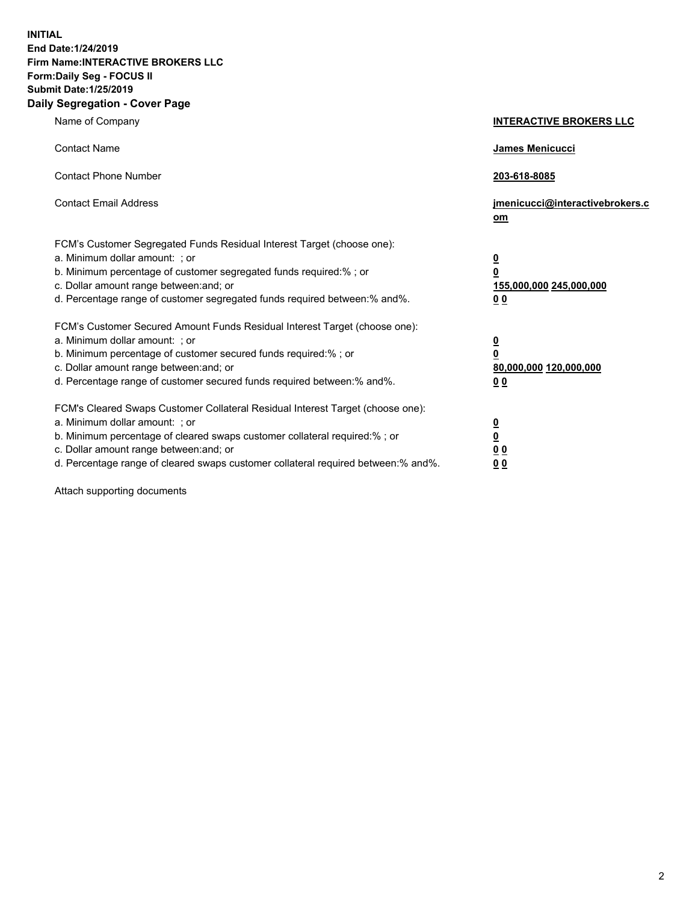**INITIAL End Date:1/24/2019 Firm Name:INTERACTIVE BROKERS LLC Form:Daily Seg - FOCUS II Submit Date:1/25/2019 Daily Segregation - Cover Page**

| Name of Company                                                                                                                                                                                                                                                                                                                | <b>INTERACTIVE BROKERS LLC</b>                                                                  |
|--------------------------------------------------------------------------------------------------------------------------------------------------------------------------------------------------------------------------------------------------------------------------------------------------------------------------------|-------------------------------------------------------------------------------------------------|
| <b>Contact Name</b>                                                                                                                                                                                                                                                                                                            | James Menicucci                                                                                 |
| <b>Contact Phone Number</b>                                                                                                                                                                                                                                                                                                    | 203-618-8085                                                                                    |
| <b>Contact Email Address</b>                                                                                                                                                                                                                                                                                                   | jmenicucci@interactivebrokers.c<br>om                                                           |
| FCM's Customer Segregated Funds Residual Interest Target (choose one):<br>a. Minimum dollar amount: ; or<br>b. Minimum percentage of customer segregated funds required:% ; or<br>c. Dollar amount range between: and; or<br>d. Percentage range of customer segregated funds required between:% and%.                         | $\overline{\mathbf{0}}$<br>$\overline{\mathbf{0}}$<br>155,000,000 245,000,000<br>0 <sub>0</sub> |
| FCM's Customer Secured Amount Funds Residual Interest Target (choose one):<br>a. Minimum dollar amount: ; or<br>b. Minimum percentage of customer secured funds required:% ; or<br>c. Dollar amount range between: and; or<br>d. Percentage range of customer secured funds required between:% and%.                           | $\overline{\mathbf{0}}$<br>0<br>80,000,000 120,000,000<br>0 <sub>0</sub>                        |
| FCM's Cleared Swaps Customer Collateral Residual Interest Target (choose one):<br>a. Minimum dollar amount: ; or<br>b. Minimum percentage of cleared swaps customer collateral required:% ; or<br>c. Dollar amount range between: and; or<br>d. Percentage range of cleared swaps customer collateral required between:% and%. | $\overline{\mathbf{0}}$<br><u>0</u><br>$\underline{0}$ $\underline{0}$<br>00                    |

Attach supporting documents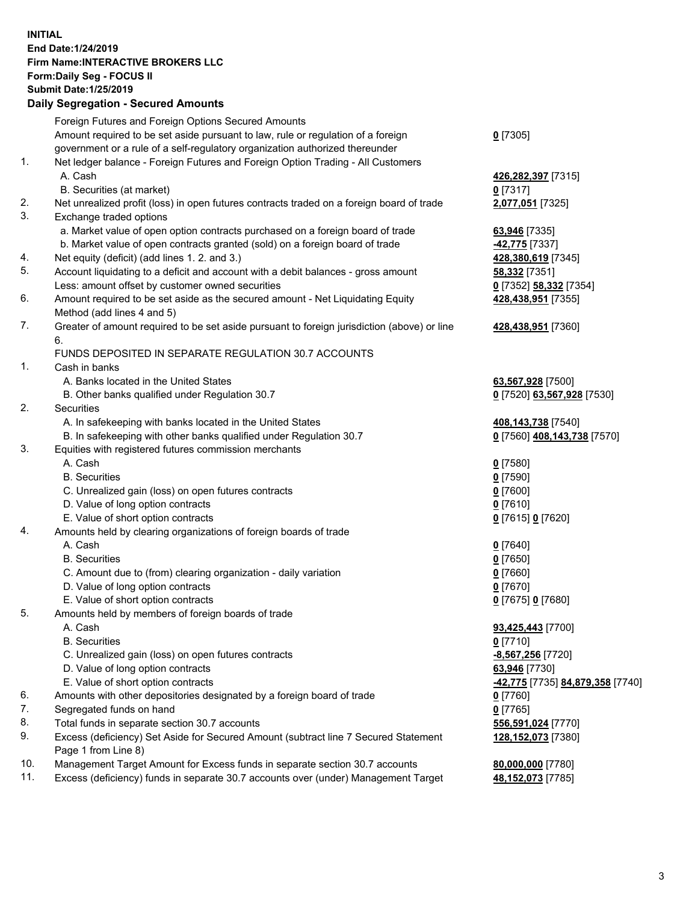## **INITIAL End Date:1/24/2019 Firm Name:INTERACTIVE BROKERS LLC Form:Daily Seg - FOCUS II Submit Date:1/25/2019 Daily Segregation - Secured Amounts**

|     | Daily Segregation - Secured Aniounts                                                                       |                                                |
|-----|------------------------------------------------------------------------------------------------------------|------------------------------------------------|
|     | Foreign Futures and Foreign Options Secured Amounts                                                        |                                                |
|     | Amount required to be set aside pursuant to law, rule or regulation of a foreign                           | $0$ [7305]                                     |
|     | government or a rule of a self-regulatory organization authorized thereunder                               |                                                |
| 1.  | Net ledger balance - Foreign Futures and Foreign Option Trading - All Customers                            |                                                |
|     | A. Cash                                                                                                    | 426,282,397 [7315]                             |
|     | B. Securities (at market)                                                                                  | $0$ [7317]                                     |
| 2.  | Net unrealized profit (loss) in open futures contracts traded on a foreign board of trade                  | 2,077,051 [7325]                               |
| 3.  | Exchange traded options                                                                                    |                                                |
|     | a. Market value of open option contracts purchased on a foreign board of trade                             | 63,946 [7335]                                  |
|     | b. Market value of open contracts granted (sold) on a foreign board of trade                               | -42,775 [7337]                                 |
| 4.  | Net equity (deficit) (add lines 1.2. and 3.)                                                               | 428,380,619 [7345]                             |
| 5.  | Account liquidating to a deficit and account with a debit balances - gross amount                          | 58,332 [7351]                                  |
|     | Less: amount offset by customer owned securities                                                           | 0 [7352] 58,332 [7354]                         |
| 6.  | Amount required to be set aside as the secured amount - Net Liquidating Equity                             | 428,438,951 [7355]                             |
|     | Method (add lines 4 and 5)                                                                                 |                                                |
| 7.  | Greater of amount required to be set aside pursuant to foreign jurisdiction (above) or line                | 428,438,951 [7360]                             |
|     | 6.                                                                                                         |                                                |
|     | FUNDS DEPOSITED IN SEPARATE REGULATION 30.7 ACCOUNTS                                                       |                                                |
| 1.  | Cash in banks                                                                                              |                                                |
|     | A. Banks located in the United States                                                                      | 63,567,928 [7500]                              |
|     | B. Other banks qualified under Regulation 30.7                                                             | 0 [7520] 63,567,928 [7530]                     |
| 2.  | Securities                                                                                                 |                                                |
|     | A. In safekeeping with banks located in the United States                                                  | 408,143,738 [7540]                             |
|     | B. In safekeeping with other banks qualified under Regulation 30.7                                         | 0 [7560] 408,143,738 [7570]                    |
| 3.  | Equities with registered futures commission merchants                                                      |                                                |
|     | A. Cash                                                                                                    | $0$ [7580]                                     |
|     | <b>B.</b> Securities                                                                                       | $0$ [7590]                                     |
|     | C. Unrealized gain (loss) on open futures contracts                                                        | $0$ [7600]                                     |
|     | D. Value of long option contracts                                                                          | $0$ [7610]                                     |
|     | E. Value of short option contracts                                                                         | 0 [7615] 0 [7620]                              |
| 4.  | Amounts held by clearing organizations of foreign boards of trade                                          |                                                |
|     | A. Cash                                                                                                    | $0$ [7640]                                     |
|     | <b>B.</b> Securities                                                                                       | $0$ [7650]                                     |
|     | C. Amount due to (from) clearing organization - daily variation                                            | $0$ [7660]                                     |
|     | D. Value of long option contracts                                                                          | $0$ [7670]                                     |
|     | E. Value of short option contracts                                                                         | 0 [7675] 0 [7680]                              |
| 5.  | Amounts held by members of foreign boards of trade                                                         |                                                |
|     | A. Cash                                                                                                    | 93,425,443 [7700]                              |
|     | <b>B.</b> Securities                                                                                       | $0$ [7710]                                     |
|     | C. Unrealized gain (loss) on open futures contracts                                                        | $-8,567,256$ [7720]                            |
|     | D. Value of long option contracts                                                                          | 63,946 [7730]                                  |
|     | E. Value of short option contracts                                                                         | <u>-42,775</u> [7735] <u>84,879,358</u> [7740] |
| 6.  | Amounts with other depositories designated by a foreign board of trade                                     | $0$ [7760]                                     |
| 7.  | Segregated funds on hand                                                                                   | $0$ [7765]                                     |
| 8.  | Total funds in separate section 30.7 accounts                                                              | 556,591,024 [7770]                             |
| 9.  | Excess (deficiency) Set Aside for Secured Amount (subtract line 7 Secured Statement<br>Page 1 from Line 8) | 128,152,073 [7380]                             |
| 10. | Management Target Amount for Excess funds in separate section 30.7 accounts                                | 80,000,000 [7780]                              |
| 11. | Excess (deficiency) funds in separate 30.7 accounts over (under) Management Target                         | 48,152,073 [7785]                              |
|     |                                                                                                            |                                                |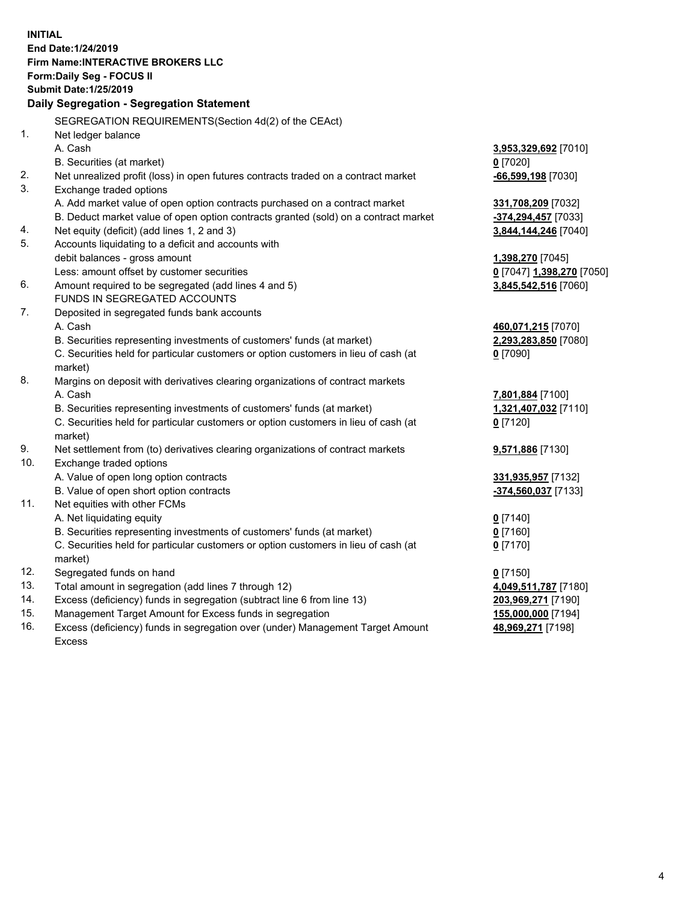**INITIAL End Date:1/24/2019 Firm Name:INTERACTIVE BROKERS LLC Form:Daily Seg - FOCUS II Submit Date:1/25/2019 Daily Segregation - Segregation Statement** SEGREGATION REQUIREMENTS(Section 4d(2) of the CEAct) 1. Net ledger balance A. Cash **3,953,329,692** [7010] B. Securities (at market) **0** [7020] 2. Net unrealized profit (loss) in open futures contracts traded on a contract market **-66,599,198** [7030] 3. Exchange traded options A. Add market value of open option contracts purchased on a contract market **331,708,209** [7032] B. Deduct market value of open option contracts granted (sold) on a contract market **-374,294,457** [7033] 4. Net equity (deficit) (add lines 1, 2 and 3) **3,844,144,246** [7040] 5. Accounts liquidating to a deficit and accounts with debit balances - gross amount **1,398,270** [7045] Less: amount offset by customer securities **0** [7047] **1,398,270** [7050] 6. Amount required to be segregated (add lines 4 and 5) **3,845,542,516** [7060] FUNDS IN SEGREGATED ACCOUNTS 7. Deposited in segregated funds bank accounts A. Cash **460,071,215** [7070] B. Securities representing investments of customers' funds (at market) **2,293,283,850** [7080] C. Securities held for particular customers or option customers in lieu of cash (at market) **0** [7090] 8. Margins on deposit with derivatives clearing organizations of contract markets A. Cash **7,801,884** [7100] B. Securities representing investments of customers' funds (at market) **1,321,407,032** [7110] C. Securities held for particular customers or option customers in lieu of cash (at market) **0** [7120] 9. Net settlement from (to) derivatives clearing organizations of contract markets **9,571,886** [7130] 10. Exchange traded options A. Value of open long option contracts **331,935,957** [7132] B. Value of open short option contracts **-374,560,037** [7133] 11. Net equities with other FCMs A. Net liquidating equity **0** [7140] B. Securities representing investments of customers' funds (at market) **0** [7160] C. Securities held for particular customers or option customers in lieu of cash (at market) **0** [7170] 12. Segregated funds on hand **0** [7150] 13. Total amount in segregation (add lines 7 through 12) **4,049,511,787** [7180] 14. Excess (deficiency) funds in segregation (subtract line 6 from line 13) **203,969,271** [7190] 15. Management Target Amount for Excess funds in segregation **155,000,000** [7194]

16. Excess (deficiency) funds in segregation over (under) Management Target Amount Excess

**48,969,271** [7198]